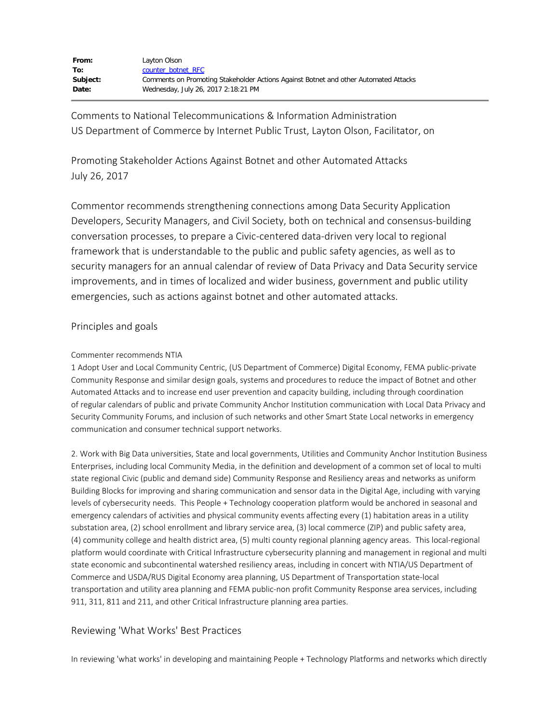| From:    | Layton Olson                                                                         |
|----------|--------------------------------------------------------------------------------------|
| To:      | counter botnet RFC                                                                   |
| Subject: | Comments on Promoting Stakeholder Actions Against Botnet and other Automated Attacks |
| Date:    | Wednesday, July 26, 2017 2:18:21 PM                                                  |

Comments to National Telecommunications & Information Administration US Department of Commerce by Internet Public Trust, Layton Olson, Facilitator, on

Promoting Stakeholder Actions Against Botnet and other Automated Attacks July 26, 2017

Commentor recommends strengthening connections among Data Security Application Developers, Security Managers, and Civil Society, both on technical and consensus-building conversation processes, to prepare a Civic-centered data-driven very local to regional framework that is understandable to the public and public safety agencies, as well as to security managers for an annual calendar of review of Data Privacy and Data Security service improvements, and in times of localized and wider business, government and public utility emergencies, such as actions against botnet and other automated attacks.

## Principles and goals

## Commenter recommends NTIA

1 Adopt User and Local Community Centric, (US Department of Commerce) Digital Economy, FEMA public-private Community Response and similar design goals, systems and procedures to reduce the impact of Botnet and other Automated Attacks and to increase end user prevention and capacity building, including through coordination of regular calendars of public and private Community Anchor Institution communication with Local Data Privacy and Security Community Forums, and inclusion of such networks and other Smart State Local networks in emergency communication and consumer technical support networks.

2. Work with Big Data universities, State and local governments, Utilities and Community Anchor Institution Business Enterprises, including local Community Media, in the definition and development of a common set of local to multi state regional Civic (public and demand side) Community Response and Resiliency areas and networks as uniform Building Blocks for improving and sharing communication and sensor data in the Digital Age, including with varying levels of cybersecurity needs. This People + Technology cooperation platform would be anchored in seasonal and emergency calendars of activities and physical community events affecting every (1) habitation areas in a utility substation area, (2) school enrollment and library service area, (3) local commerce (ZIP) and public safety area, (4) community college and health district area, (5) multi county regional planning agency areas. This local-regional platform would coordinate with Critical Infrastructure cybersecurity planning and management in regional and multi state economic and subcontinental watershed resiliency areas, including in concert with NTIA/US Department of Commerce and USDA/RUS Digital Economy area planning, US Department of Transportation state-local transportation and utility area planning and FEMA public-non profit Community Response area services, including 911, 311, 811 and 211, and other Critical Infrastructure planning area parties.

## Reviewing 'What Works' Best Practices

In reviewing 'what works' in developing and maintaining People + Technology Platforms and networks which directly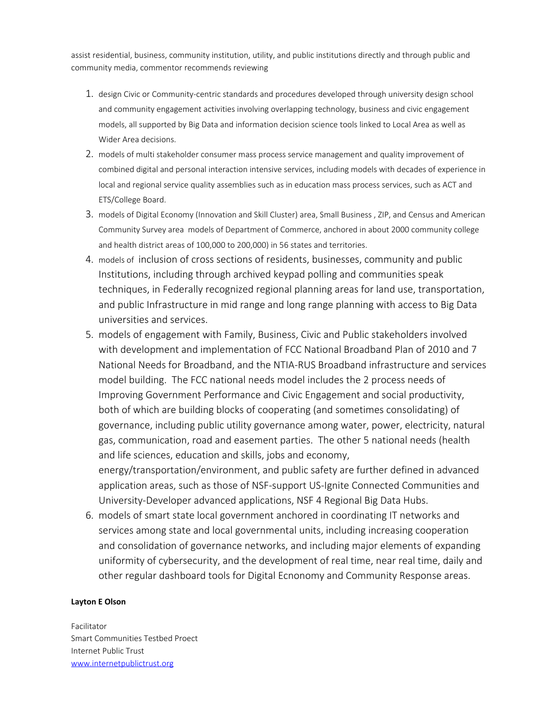assist residential, business, community institution, utility, and public institutions directly and through public and community media, commentor recommends reviewing

- 1. design Civic or Community-centric standards and procedures developed through university design school and community engagement activities involving overlapping technology, business and civic engagement models, all supported by Big Data and information decision science tools linked to Local Area as well as Wider Area decisions.
- 2. models of multi stakeholder consumer mass process service management and quality improvement of combined digital and personal interaction intensive services, including models with decades of experience in local and regional service quality assemblies such as in education mass process services, such as ACT and ETS/College Board.
- 3. models of Digital Economy (Innovation and Skill Cluster) area, Small Business , ZIP, and Census and American Community Survey area models of Department of Commerce, anchored in about 2000 community college and health district areas of 100,000 to 200,000) in 56 states and territories.
- 4. models of inclusion of cross sections of residents, businesses, community and public Institutions, including through archived keypad polling and communities speak techniques, in Federally recognized regional planning areas for land use, transportation, and public Infrastructure in mid range and long range planning with access to Big Data universities and services.
- 5. models of engagement with Family, Business, Civic and Public stakeholders involved with development and implementation of FCC National Broadband Plan of 2010 and 7 National Needs for Broadband, and the NTIA-RUS Broadband infrastructure and services model building. The FCC national needs model includes the 2 process needs of Improving Government Performance and Civic Engagement and social productivity, both of which are building blocks of cooperating (and sometimes consolidating) of governance, including public utility governance among water, power, electricity, natural gas, communication, road and easement parties. The other 5 national needs (health and life sciences, education and skills, jobs and economy,

energy/transportation/environment, and public safety are further defined in advanced application areas, such as those of NSF-support US-Ignite Connected Communities and University-Developer advanced applications, NSF 4 Regional Big Data Hubs.

6. models of smart state local government anchored in coordinating IT networks and services among state and local governmental units, including increasing cooperation and consolidation of governance networks, and including major elements of expanding uniformity of cybersecurity, and the development of real time, near real time, daily and other regular dashboard tools for Digital Ecnonomy and Community Response areas.

## **Layton E Olson**

Facilitator Smart Communities Testbed Proect Internet Public Trust [www.internetpublictrust.org](http://www.internetpublictrust.org/)